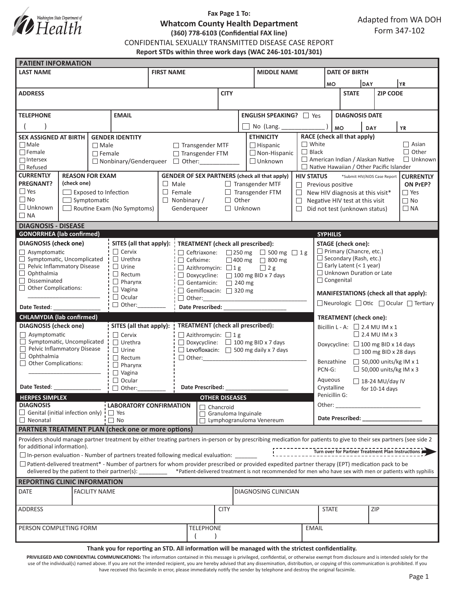

# **Fax Page 1 To: Whatcom County Health Department (360) 778-6103 (Confidential FAX line)**

Adapted from WA DOH Form 347-102

CONFIDENTIAL SEXUALLY TRANSMITTED DISEASE CASE REPORT

**Report STDs within three work days (WAC 246-101-101/301)**

| <b>PATIENT INFORMATION</b>                                                                                                                                                                                                                                                                                               |  |                        |                                                                                                                             |                                                                     |                                                                                                     |                                                |                    |                                                                                                                  |                                         |                                                                           |                                        |                                                                                                                                                                                                                                |                        |              |  |
|--------------------------------------------------------------------------------------------------------------------------------------------------------------------------------------------------------------------------------------------------------------------------------------------------------------------------|--|------------------------|-----------------------------------------------------------------------------------------------------------------------------|---------------------------------------------------------------------|-----------------------------------------------------------------------------------------------------|------------------------------------------------|--------------------|------------------------------------------------------------------------------------------------------------------|-----------------------------------------|---------------------------------------------------------------------------|----------------------------------------|--------------------------------------------------------------------------------------------------------------------------------------------------------------------------------------------------------------------------------|------------------------|--------------|--|
| <b>LAST NAME</b>                                                                                                                                                                                                                                                                                                         |  |                        | <b>FIRST NAME</b>                                                                                                           |                                                                     |                                                                                                     |                                                | <b>MIDDLE NAME</b> |                                                                                                                  |                                         | <b>DATE OF BIRTH</b>                                                      |                                        |                                                                                                                                                                                                                                |                        |              |  |
|                                                                                                                                                                                                                                                                                                                          |  |                        |                                                                                                                             |                                                                     |                                                                                                     |                                                |                    |                                                                                                                  |                                         | DAY<br><b>MO</b>                                                          |                                        |                                                                                                                                                                                                                                | YR.                    |              |  |
| <b>ADDRESS</b>                                                                                                                                                                                                                                                                                                           |  |                        |                                                                                                                             |                                                                     | <b>CITY</b>                                                                                         |                                                |                    |                                                                                                                  |                                         | <b>STATE</b>                                                              |                                        | <b>ZIP CODE</b>                                                                                                                                                                                                                |                        |              |  |
|                                                                                                                                                                                                                                                                                                                          |  |                        |                                                                                                                             |                                                                     |                                                                                                     |                                                |                    |                                                                                                                  |                                         |                                                                           |                                        |                                                                                                                                                                                                                                |                        |              |  |
| <b>EMAIL</b><br><b>TELEPHONE</b>                                                                                                                                                                                                                                                                                         |  |                        |                                                                                                                             |                                                                     | ENGLISH SPEAKING? 7 Yes                                                                             |                                                |                    |                                                                                                                  |                                         | <b>DIAGNOSIS DATE</b>                                                     |                                        |                                                                                                                                                                                                                                |                        |              |  |
|                                                                                                                                                                                                                                                                                                                          |  |                        |                                                                                                                             |                                                                     |                                                                                                     |                                                | No (Lang. ____     |                                                                                                                  |                                         |                                                                           | <b>YR</b><br>DAY                       |                                                                                                                                                                                                                                |                        |              |  |
| <b>SEX ASSIGNED AT BIRTH</b><br><b>GENDER IDENTITY</b>                                                                                                                                                                                                                                                                   |  |                        |                                                                                                                             |                                                                     |                                                                                                     |                                                | <b>ETHNICITY</b>   |                                                                                                                  | <b>MO</b>                               | RACE (check all that apply)                                               |                                        |                                                                                                                                                                                                                                |                        |              |  |
| $\Box$ Male<br>$\Box$ Male                                                                                                                                                                                                                                                                                               |  | $\Box$ Transgender MTF |                                                                                                                             |                                                                     |                                                                                                     | $\Box$ Hispanic                                |                    |                                                                                                                  | $\Box$ White<br>$\Box$ Asian            |                                                                           |                                        |                                                                                                                                                                                                                                |                        |              |  |
| $\Box$ Female                                                                                                                                                                                                                                                                                                            |  | $\Box$ Female          |                                                                                                                             |                                                                     |                                                                                                     | $\Box$ Non-Hispanic<br>□ Transgender FTM       |                    |                                                                                                                  | $\Box$ Black                            |                                                                           |                                        |                                                                                                                                                                                                                                |                        | $\Box$ Other |  |
| $\Box$ Intersex                                                                                                                                                                                                                                                                                                          |  |                        |                                                                                                                             | □ Nonbinary/Genderqueer □ Other:                                    |                                                                                                     |                                                |                    | $\Box$ Unknown                                                                                                   | American Indian / Alaskan Native        |                                                                           |                                        |                                                                                                                                                                                                                                | $\Box$ Unknown         |              |  |
| $\Box$ Refused<br><b>CURRENTLY</b><br><b>REASON FOR EXAM</b>                                                                                                                                                                                                                                                             |  |                        |                                                                                                                             | <b>GENDER OF SEX PARTNERS (check all that apply)</b>                |                                                                                                     |                                                |                    |                                                                                                                  |                                         | $\Box$ Native Hawaiian / Other Pacific Islander                           |                                        |                                                                                                                                                                                                                                |                        |              |  |
| <b>PREGNANT?</b><br>(check one)                                                                                                                                                                                                                                                                                          |  |                        |                                                                                                                             | $\Box$ Male                                                         | $\Box$ Transgender MTF                                                                              |                                                |                    | *Submit HIV/AIDS Case Report<br><b>HIV STATUS</b><br><b>CURRENTLY</b><br>Previous positive<br>ON PrEP?<br>$\Box$ |                                         |                                                                           |                                        |                                                                                                                                                                                                                                |                        |              |  |
| $\Box$ Yes<br>$\Box$ Exposed to Infection                                                                                                                                                                                                                                                                                |  |                        |                                                                                                                             | $\Box$ Female                                                       | $\Box$ Transgender FTM                                                                              |                                                |                    | $\Box$ Yes<br>$\Box$<br>New HIV diagnosis at this visit*                                                         |                                         |                                                                           |                                        |                                                                                                                                                                                                                                |                        |              |  |
| $\Box$ No<br>$\Box$ Symptomatic                                                                                                                                                                                                                                                                                          |  |                        |                                                                                                                             | $\Box$ Nonbinary /                                                  | $\Box$ Other                                                                                        |                                                |                    | $\Box$                                                                                                           |                                         |                                                                           | Negative HIV test at this visit        |                                                                                                                                                                                                                                |                        |              |  |
| $\Box$ Unknown<br>Routine Exam (No Symptoms)                                                                                                                                                                                                                                                                             |  |                        |                                                                                                                             | Genderqueer                                                         | $\Box$ Unknown                                                                                      |                                                |                    | Did not test (unknown status)                                                                                    |                                         |                                                                           |                                        | $\Box$ NA                                                                                                                                                                                                                      |                        |              |  |
| $\Box$ NA                                                                                                                                                                                                                                                                                                                |  |                        |                                                                                                                             |                                                                     |                                                                                                     |                                                |                    |                                                                                                                  |                                         |                                                                           |                                        |                                                                                                                                                                                                                                |                        |              |  |
| <b>DIAGNOSIS - DISEASE</b><br><b>GONORRHEA</b> (lab confirmed)                                                                                                                                                                                                                                                           |  |                        |                                                                                                                             |                                                                     |                                                                                                     |                                                |                    |                                                                                                                  |                                         |                                                                           |                                        |                                                                                                                                                                                                                                |                        |              |  |
|                                                                                                                                                                                                                                                                                                                          |  |                        |                                                                                                                             |                                                                     |                                                                                                     |                                                |                    |                                                                                                                  |                                         | <b>SYPHILIS</b>                                                           |                                        |                                                                                                                                                                                                                                |                        |              |  |
| <b>DIAGNOSIS</b> (check one)<br>$\Box$ Asymptomatic                                                                                                                                                                                                                                                                      |  |                        | $\Box$ Cervix                                                                                                               | SITES (all that apply):<br><b>TREATMENT</b> (check all prescribed): |                                                                                                     |                                                |                    |                                                                                                                  | <b>STAGE</b> (check one):               |                                                                           |                                        |                                                                                                                                                                                                                                |                        |              |  |
| Symptomatic, Uncomplicated                                                                                                                                                                                                                                                                                               |  |                        | Ceftriaxone:<br>$\Box$ 250 mg $\Box$ 500 mg $\Box$ 1 g<br>$\Box$ Urethra<br>$\Box$ Cefixime:<br>$\Box$ 400 mg $\Box$ 800 mg |                                                                     |                                                                                                     |                                                |                    |                                                                                                                  |                                         | $\Box$ Primary (Chancre, etc.)<br>$\Box$ Secondary (Rash, etc.)           |                                        |                                                                                                                                                                                                                                |                        |              |  |
| Pelvic Inflammatory Disease                                                                                                                                                                                                                                                                                              |  |                        | $\Box$ Urine<br>$\Box$ Azithromycin: $\Box$ 1 g                                                                             |                                                                     |                                                                                                     |                                                |                    | $\Box$ Early Latent (< 1 year)<br>$\Box$ 2 g                                                                     |                                         |                                                                           |                                        |                                                                                                                                                                                                                                |                        |              |  |
| $\Box$ Ophthalmia<br>Disseminated                                                                                                                                                                                                                                                                                        |  |                        | $\Box$ Rectum<br>$\Box$ Doxycycline: $\Box$ 100 mg BID x 7 days                                                             |                                                                     |                                                                                                     |                                                |                    |                                                                                                                  |                                         | □ Unknown Duration or Late<br>$\Box$ Congenital                           |                                        |                                                                                                                                                                                                                                |                        |              |  |
| П<br><b>Other Complications:</b><br>$\Box$                                                                                                                                                                                                                                                                               |  |                        | $\Box$ Pharynx<br>$\Box$ Vagina                                                                                             | $\Box$ Gentamicin: $\Box$ 240 mg<br>Gemifloxacin: 320 mg            |                                                                                                     |                                                |                    |                                                                                                                  |                                         |                                                                           |                                        |                                                                                                                                                                                                                                |                        |              |  |
|                                                                                                                                                                                                                                                                                                                          |  |                        | $\Box$ Ocular<br>$\Box$ Other:                                                                                              |                                                                     |                                                                                                     |                                                |                    |                                                                                                                  |                                         |                                                                           | MANIFESTATIONS (check all that apply): |                                                                                                                                                                                                                                |                        |              |  |
| Date Tested: _                                                                                                                                                                                                                                                                                                           |  |                        | Other:                                                                                                                      | Date Prescribed: National Prescribed:                               |                                                                                                     |                                                |                    |                                                                                                                  |                                         | □ Neurologic □ Otic □ Ocular □ Tertiary                                   |                                        |                                                                                                                                                                                                                                |                        |              |  |
| <b>CHLAMYDIA (lab confirmed)</b>                                                                                                                                                                                                                                                                                         |  |                        |                                                                                                                             |                                                                     |                                                                                                     |                                                |                    |                                                                                                                  |                                         | <b>TREATMENT</b> (check one):                                             |                                        |                                                                                                                                                                                                                                |                        |              |  |
| <b>DIAGNOSIS</b> (check one)                                                                                                                                                                                                                                                                                             |  |                        |                                                                                                                             | <b>TREATMENT</b> (check all prescribed):<br>SITES (all that apply): |                                                                                                     |                                                |                    |                                                                                                                  |                                         | Bicillin L - A: $\Box$ 2.4 MU IM x 1                                      |                                        |                                                                                                                                                                                                                                |                        |              |  |
| $\Box$ Asymptomatic                                                                                                                                                                                                                                                                                                      |  |                        | $\Box$ Cervix<br>$\Box$ Azithromycin: $\Box$ 1 g                                                                            |                                                                     |                                                                                                     |                                                |                    |                                                                                                                  |                                         | $\Box$ 2.4 MU IM x 3                                                      |                                        |                                                                                                                                                                                                                                |                        |              |  |
| $\Box$ Symptomatic, Uncomplicated                                                                                                                                                                                                                                                                                        |  |                        | $\Box$ Urethra                                                                                                              |                                                                     |                                                                                                     | $\Box$ Doxycycline: $\Box$ 100 mg BID x 7 days |                    |                                                                                                                  |                                         | Doxycycline: $\Box$ 100 mg BID x 14 days                                  |                                        |                                                                                                                                                                                                                                |                        |              |  |
| Pelvic Inflammatory Disease<br>$\Box$<br>$\Box$ Ophthalmia                                                                                                                                                                                                                                                               |  |                        | $\Box$ Urine                                                                                                                | $\Box$ Other:                                                       | $\Box$ Levofloxacin: $\Box$ 500 mg daily x 7 days                                                   |                                                |                    |                                                                                                                  | $\Box$ 100 mg BID x 28 days             |                                                                           |                                        |                                                                                                                                                                                                                                |                        |              |  |
| $\Box$ Other Complications:                                                                                                                                                                                                                                                                                              |  |                        | $\Box$ Rectum<br>$\Box$ Pharynx                                                                                             |                                                                     |                                                                                                     |                                                |                    |                                                                                                                  |                                         | $\Box$ 50,000 units/kg IM x 1<br>Benzathine                               |                                        |                                                                                                                                                                                                                                |                        |              |  |
|                                                                                                                                                                                                                                                                                                                          |  | $\Box$ Vagina          |                                                                                                                             |                                                                     |                                                                                                     |                                                |                    |                                                                                                                  | $\Box$ 50,000 units/kg IM x 3<br>PCN-G: |                                                                           |                                        |                                                                                                                                                                                                                                |                        |              |  |
|                                                                                                                                                                                                                                                                                                                          |  |                        | $\Box$ Ocular                                                                                                               |                                                                     |                                                                                                     |                                                |                    |                                                                                                                  |                                         | Aqueous                                                                   |                                        |                                                                                                                                                                                                                                | $\Box$ 18-24 MU/day IV |              |  |
| Date Tested: The State of the State of the State of the State of the State of the State of the State of the State of the State of the State of the State of the State of the State of the State of the State of the State of t                                                                                           |  |                        | $\Box$ Other:                                                                                                               | Date Prescribed:                                                    |                                                                                                     |                                                |                    |                                                                                                                  |                                         | Crystalline<br>for $10-14$ days                                           |                                        |                                                                                                                                                                                                                                |                        |              |  |
| <b>HERPES SIMPLEX</b><br><b>DIAGNOSIS</b>                                                                                                                                                                                                                                                                                |  |                        |                                                                                                                             |                                                                     | <b>OTHER DISEASES</b>                                                                               |                                                |                    |                                                                                                                  |                                         | Penicillin G:<br>Other:<br><u> 1980 - Jan Barbara Barbara, manazarta </u> |                                        |                                                                                                                                                                                                                                |                        |              |  |
| $\Box$ Genital (initial infection only) $\Box$ Yes                                                                                                                                                                                                                                                                       |  |                        | <b>LABORATORY CONFIRMATION</b>                                                                                              |                                                                     | Chancroid<br>Granuloma Inguinale                                                                    |                                                |                    |                                                                                                                  |                                         |                                                                           |                                        |                                                                                                                                                                                                                                |                        |              |  |
| $\Box$ No<br>$\Box$ Neonatal                                                                                                                                                                                                                                                                                             |  |                        |                                                                                                                             |                                                                     |                                                                                                     | Lymphogranuloma Venereum                       |                    |                                                                                                                  |                                         |                                                                           |                                        | Date Prescribed: Note that the present of the state of the state of the state of the state of the state of the state of the state of the state of the state of the state of the state of the state of the state of the state o |                        |              |  |
| <b>PARTNER TREATMENT PLAN (check one or more options)</b>                                                                                                                                                                                                                                                                |  |                        |                                                                                                                             |                                                                     |                                                                                                     |                                                |                    |                                                                                                                  |                                         |                                                                           |                                        |                                                                                                                                                                                                                                |                        |              |  |
| Providers should manage partner treatment by either treating partners in-person or by prescribing medication for patients to give to their sex partners (see side 2<br>for additional information).                                                                                                                      |  |                        |                                                                                                                             |                                                                     |                                                                                                     |                                                |                    |                                                                                                                  |                                         |                                                                           |                                        |                                                                                                                                                                                                                                |                        |              |  |
|                                                                                                                                                                                                                                                                                                                          |  |                        |                                                                                                                             |                                                                     | □ In-person evaluation - Number of partners treated following medical evaluation:                   |                                                |                    |                                                                                                                  |                                         |                                                                           |                                        |                                                                                                                                                                                                                                |                        |              |  |
| $\Box$ Patient-delivered treatment* - Number of partners for whom provider prescribed or provided expedited partner therapy (EPT) medication pack to be<br>delivered by the patient to their partner(s): _______ *Patient-delivered treatment is not recommended for men who have sex with men or patients with syphilis |  |                        |                                                                                                                             |                                                                     |                                                                                                     |                                                |                    |                                                                                                                  |                                         |                                                                           |                                        |                                                                                                                                                                                                                                |                        |              |  |
| <b>REPORTING CLINIC INFORMATION</b>                                                                                                                                                                                                                                                                                      |  |                        |                                                                                                                             |                                                                     |                                                                                                     |                                                |                    |                                                                                                                  |                                         |                                                                           |                                        |                                                                                                                                                                                                                                |                        |              |  |
| <b>DATE</b><br><b>FACILITY NAME</b><br>DIAGNOSING CLINICIAN                                                                                                                                                                                                                                                              |  |                        |                                                                                                                             |                                                                     |                                                                                                     |                                                |                    |                                                                                                                  |                                         |                                                                           |                                        |                                                                                                                                                                                                                                |                        |              |  |
| <b>ADDRESS</b>                                                                                                                                                                                                                                                                                                           |  |                        |                                                                                                                             |                                                                     |                                                                                                     | <b>CITY</b>                                    |                    |                                                                                                                  |                                         | <b>STATE</b>                                                              |                                        |                                                                                                                                                                                                                                | ZIP                    |              |  |
|                                                                                                                                                                                                                                                                                                                          |  |                        |                                                                                                                             |                                                                     |                                                                                                     |                                                |                    |                                                                                                                  |                                         |                                                                           |                                        |                                                                                                                                                                                                                                |                        |              |  |
| PERSON COMPLETING FORM                                                                                                                                                                                                                                                                                                   |  |                        |                                                                                                                             |                                                                     | <b>TELEPHONE</b>                                                                                    |                                                |                    |                                                                                                                  | <b>EMAIL</b>                            |                                                                           |                                        |                                                                                                                                                                                                                                |                        |              |  |
|                                                                                                                                                                                                                                                                                                                          |  |                        |                                                                                                                             |                                                                     | Thank you for reporting an STD. All information will be managed with the strictest confidentiality. |                                                |                    |                                                                                                                  |                                         |                                                                           |                                        |                                                                                                                                                                                                                                |                        |              |  |

PRIVILEGED AND CONFIDENTIAL COMMUNICATIONS: The information contained in this message is privileged, confidential, or otherwise exempt from disclosure and is intended solely for the use of the individual(s) named above. If you are not the intended recipient, you are hereby advised that any dissemination, distribution, or copying of this communication is prohibited. If you have received this facsimile in error, please immediately notify the sender by telephone and destroy the original facsimile.